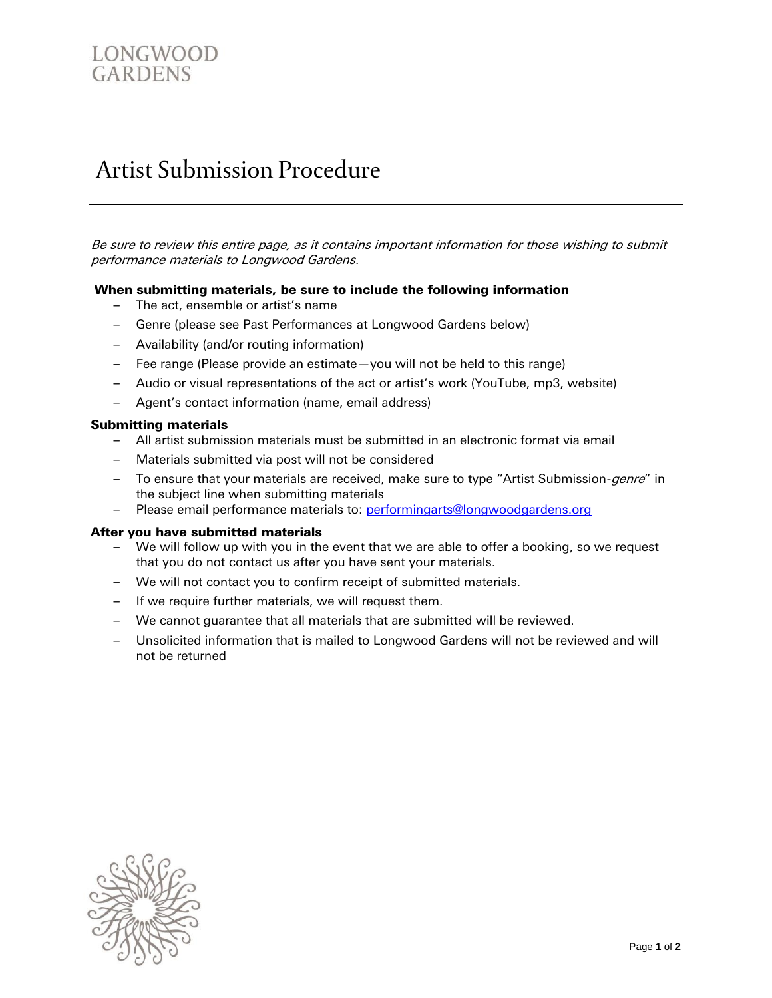# LONGWOOD GARDENS

# Artist Submission Procedure

Be sure to review this entire page, as it contains important information for those wishing to submit performance materials to Longwood Gardens.

## **When submitting materials, be sure to include the following information**

- The act, ensemble or artist's name
- Genre (please see Past Performances at Longwood Gardens below)
- Availability (and/or routing information)
- Fee range (Please provide an estimate—you will not be held to this range)
- Audio or visual representations of the act or artist's work (YouTube, mp3, website)
- Agent's contact information (name, email address)

#### **Submitting materials**

- All artist submission materials must be submitted in an electronic format via email
- Materials submitted via post will not be considered
- To ensure that your materials are received, make sure to type "Artist Submission-genre" in the subject line when submitting materials
- Please email performance materials to: [performingarts@longwoodgardens.org](mailto:performingarts@longwoodgardens.org)

#### **After you have submitted materials**

- We will follow up with you in the event that we are able to offer a booking, so we request that you do not contact us after you have sent your materials.
- We will not contact you to confirm receipt of submitted materials.
- If we require further materials, we will request them.
- We cannot guarantee that all materials that are submitted will be reviewed.
- Unsolicited information that is mailed to Longwood Gardens will not be reviewed and will not be returned